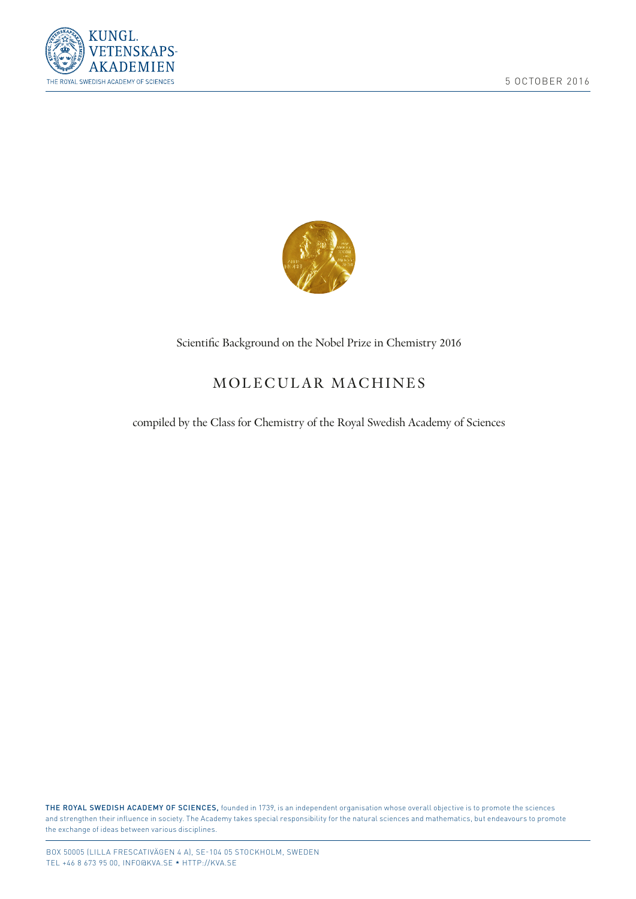



## Scientifc Background on the Nobel Prize in Chemistry 2016

# MOLECULAR MACHINES

## compiled by the Class for Chemistry of the Royal Swedish Academy of Sciences

THE ROYAL SWEDISH ACADEMY OF SCIENCES, founded in 1739, is an independent organisation whose overall objective is to promote the sciences and strengthen their infuence in society. The Academy takes special responsibility for the natural sciences and mathematics, but endeavours to promote the exchange of ideas between various disciplines.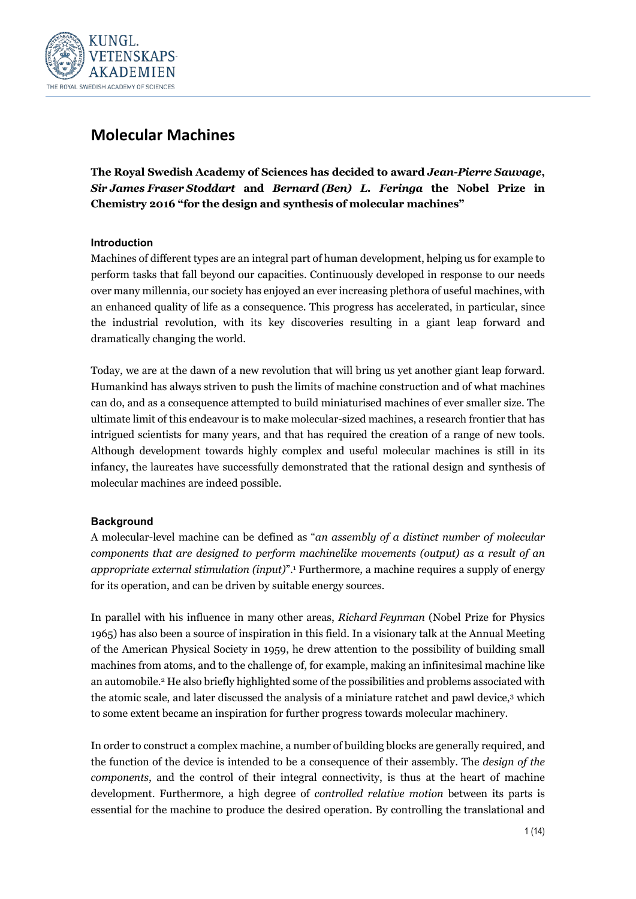

## **Molecular Machines**

**The Royal Swedish Academy of Sciences has decided to award** *Jean-Pierre Sauvage***,**  *Sir James Fraser Stoddart* **and** *Bernard (Ben) L. Feringa* **the Nobel Prize in Chemistry 2016 "for the design and synthesis of molecular machines"**

## **Introduction**

Machines of different types are an integral part of human development, helping us for example to perform tasks that fall beyond our capacities. Continuously developed in response to our needs over many millennia, our society has enjoyed an ever increasing plethora of useful machines, with an enhanced quality of life as a consequence. This progress has accelerated, in particular, since the industrial revolution, with its key discoveries resulting in a giant leap forward and dramatically changing the world.

Today, we are at the dawn of a new revolution that will bring us yet another giant leap forward. Humankind has always striven to push the limits of machine construction and of what machines can do, and as a consequence attempted to build miniaturised machines of ever smaller size. The ultimate limit of this endeavour is to make molecular-sized machines, a research frontier that has intrigued scientists for many years, and that has required the creation of a range of new tools. Although development towards highly complex and useful molecular machines is still in its infancy, the laureates have successfully demonstrated that the rational design and synthesis of molecular machines are indeed possible.

## **Background**

A molecular-level machine can be defined as "*an assembly of a distinct number of molecular components that are designed to perform machinelike movements (output) as a result of an appropriate external stimulation (input)*".1 Furthermore, a machine requires a supply of energy for its operation, and can be driven by suitable energy sources.

In parallel with his influence in many other areas, *Richard Feynman* (Nobel Prize for Physics 1965) has also been a source of inspiration in this field. In a visionary talk at the Annual Meeting of the American Physical Society in 1959, he drew attention to the possibility of building small machines from atoms, and to the challenge of, for example, making an infinitesimal machine like an automobile.<sup>2</sup> He also briefly highlighted some of the possibilities and problems associated with the atomic scale, and later discussed the analysis of a miniature ratchet and pawl device,3 which to some extent became an inspiration for further progress towards molecular machinery.

In order to construct a complex machine, a number of building blocks are generally required, and the function of the device is intended to be a consequence of their assembly. The *design of the components*, and the control of their integral connectivity, is thus at the heart of machine development. Furthermore, a high degree of *controlled relative motion* between its parts is essential for the machine to produce the desired operation. By controlling the translational and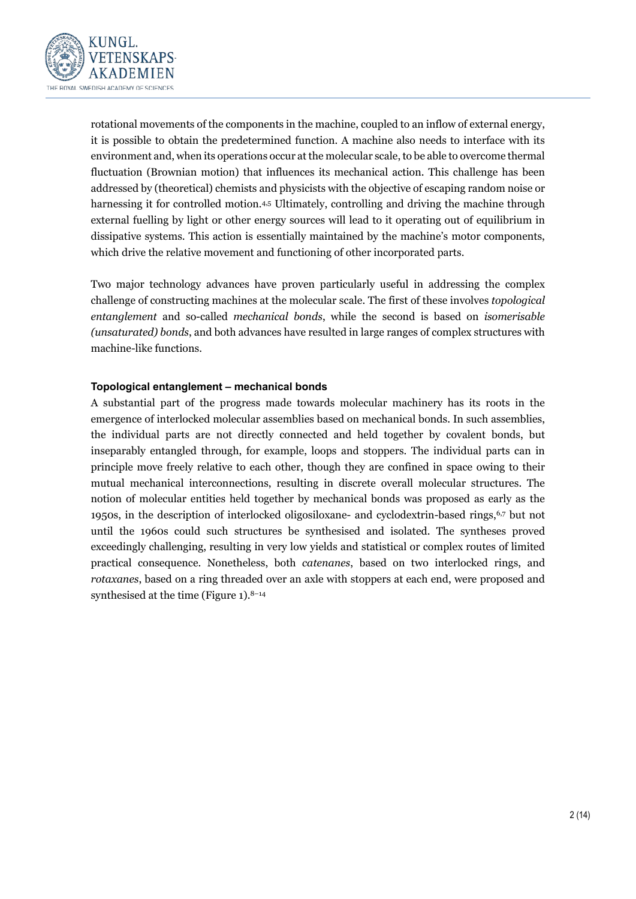

rotational movements of the components in the machine, coupled to an inflow of external energy, it is possible to obtain the predetermined function. A machine also needs to interface with its environment and, when its operations occur at the molecular scale, to be able to overcome thermal fluctuation (Brownian motion) that influences its mechanical action. This challenge has been addressed by (theoretical) chemists and physicists with the objective of escaping random noise or harnessing it for controlled motion.<sup>4,5</sup> Ultimately, controlling and driving the machine through external fuelling by light or other energy sources will lead to it operating out of equilibrium in dissipative systems. This action is essentially maintained by the machine's motor components, which drive the relative movement and functioning of other incorporated parts.

Two major technology advances have proven particularly useful in addressing the complex challenge of constructing machines at the molecular scale. The first of these involves *topological entanglement* and so-called *mechanical bonds*, while the second is based on *isomerisable (unsaturated) bonds*, and both advances have resulted in large ranges of complex structures with machine-like functions.

## **Topological entanglement – mechanical bonds**

A substantial part of the progress made towards molecular machinery has its roots in the emergence of interlocked molecular assemblies based on mechanical bonds. In such assemblies, the individual parts are not directly connected and held together by covalent bonds, but inseparably entangled through, for example, loops and stoppers. The individual parts can in principle move freely relative to each other, though they are confined in space owing to their mutual mechanical interconnections, resulting in discrete overall molecular structures. The notion of molecular entities held together by mechanical bonds was proposed as early as the 1950s, in the description of interlocked oligosiloxane- and cyclodextrin-based rings, $6.7$  but not until the 1960s could such structures be synthesised and isolated. The syntheses proved exceedingly challenging, resulting in very low yields and statistical or complex routes of limited practical consequence. Nonetheless, both *catenanes*, based on two interlocked rings, and *rotaxanes*, based on a ring threaded over an axle with stoppers at each end, were proposed and synthesised at the time (Figure  $1$ ).<sup>8-14</sup>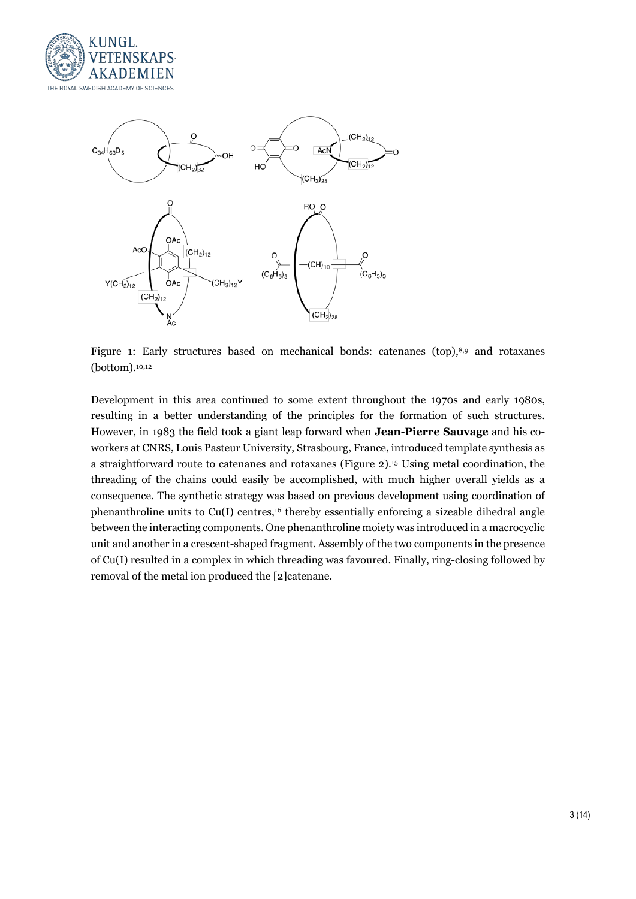



Figure 1: Early structures based on mechanical bonds: catenanes (top), $8.9$  and rotaxanes (bottom).10,12

Development in this area continued to some extent throughout the 1970s and early 1980s, resulting in a better understanding of the principles for the formation of such structures. However, in 1983 the field took a giant leap forward when **Jean-Pierre Sauvage** and his coworkers at CNRS, Louis Pasteur University, Strasbourg, France, introduced template synthesis as a straightforward route to catenanes and rotaxanes (Figure 2).15 Using metal coordination, the threading of the chains could easily be accomplished, with much higher overall yields as a consequence. The synthetic strategy was based on previous development using coordination of phenanthroline units to  $Cu(I)$  centres,<sup>16</sup> thereby essentially enforcing a sizeable dihedral angle between the interacting components. One phenanthroline moiety was introduced in a macrocyclic unit and another in a crescent-shaped fragment. Assembly of the two components in the presence of Cu(I) resulted in a complex in which threading was favoured. Finally, ring-closing followed by removal of the metal ion produced the [2]catenane.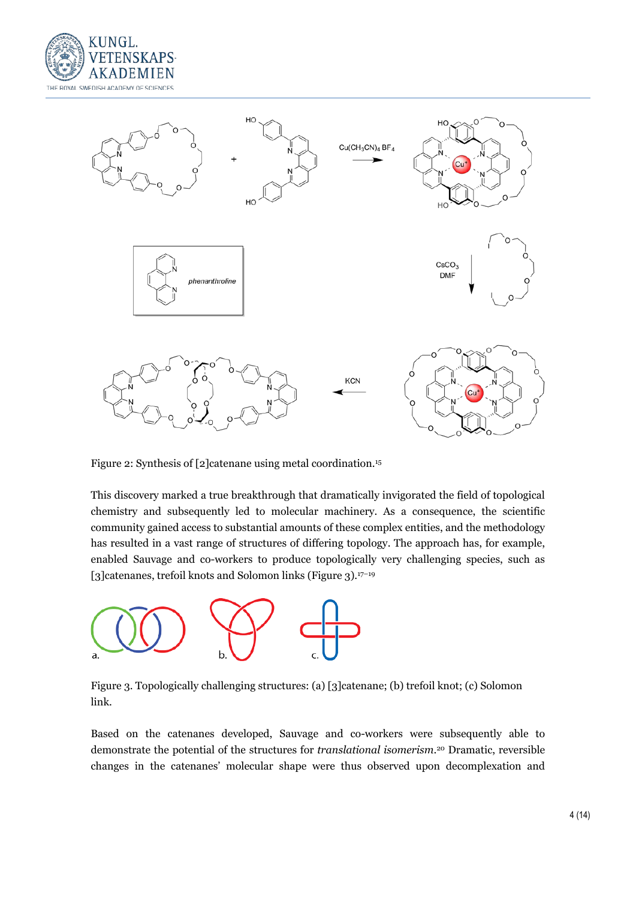



Figure 2: Synthesis of [2] catenane using metal coordination.<sup>15</sup>

This discovery marked a true breakthrough that dramatically invigorated the field of topological chemistry and subsequently led to molecular machinery. As a consequence, the scientific community gained access to substantial amounts of these complex entities, and the methodology has resulted in a vast range of structures of differing topology. The approach has, for example, enabled Sauvage and co-workers to produce topologically very challenging species, such as [3] catenanes, trefoil knots and Solomon links (Figure 3).<sup>17-19</sup>



Figure 3. Topologically challenging structures: (a) [3]catenane; (b) trefoil knot; (c) Solomon link.

Based on the catenanes developed, Sauvage and co-workers were subsequently able to demonstrate the potential of the structures for *translational isomerism*.20 Dramatic, reversible changes in the catenanes' molecular shape were thus observed upon decomplexation and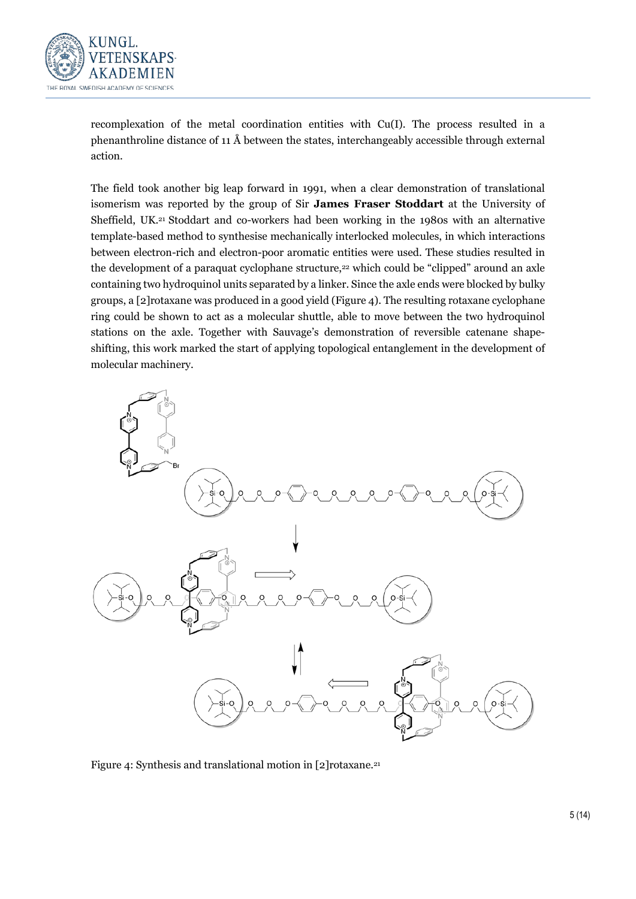

recomplexation of the metal coordination entities with Cu(I). The process resulted in a phenanthroline distance of 11 Å between the states, interchangeably accessible through external action.

The field took another big leap forward in 1991, when a clear demonstration of translational isomerism was reported by the group of Sir **James Fraser Stoddart** at the University of Sheffield, UK.21 Stoddart and co-workers had been working in the 1980s with an alternative template-based method to synthesise mechanically interlocked molecules, in which interactions between electron-rich and electron-poor aromatic entities were used. These studies resulted in the development of a paraquat cyclophane structure,<sup>22</sup> which could be "clipped" around an axle containing two hydroquinol units separated by a linker. Since the axle ends were blocked by bulky groups, a [2]rotaxane was produced in a good yield (Figure 4). The resulting rotaxane cyclophane ring could be shown to act as a molecular shuttle, able to move between the two hydroquinol stations on the axle. Together with Sauvage's demonstration of reversible catenane shapeshifting, this work marked the start of applying topological entanglement in the development of molecular machinery.



Figure 4: Synthesis and translational motion in [2]rotaxane.21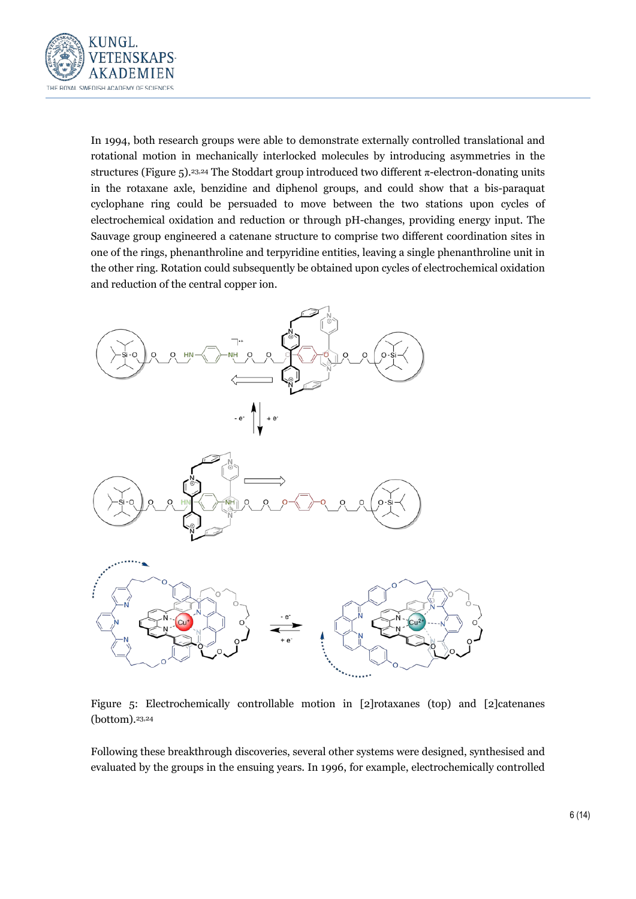

In 1994, both research groups were able to demonstrate externally controlled translational and rotational motion in mechanically interlocked molecules by introducing asymmetries in the structures (Figure 5).<sup>23,24</sup> The Stoddart group introduced two different  $\pi$ -electron-donating units in the rotaxane axle, benzidine and diphenol groups, and could show that a bis-paraquat cyclophane ring could be persuaded to move between the two stations upon cycles of electrochemical oxidation and reduction or through pH-changes, providing energy input. The Sauvage group engineered a catenane structure to comprise two different coordination sites in one of the rings, phenanthroline and terpyridine entities, leaving a single phenanthroline unit in the other ring. Rotation could subsequently be obtained upon cycles of electrochemical oxidation and reduction of the central copper ion.



Figure 5: Electrochemically controllable motion in [2]rotaxanes (top) and [2]catenanes (bottom).23,24

Following these breakthrough discoveries, several other systems were designed, synthesised and evaluated by the groups in the ensuing years. In 1996, for example, electrochemically controlled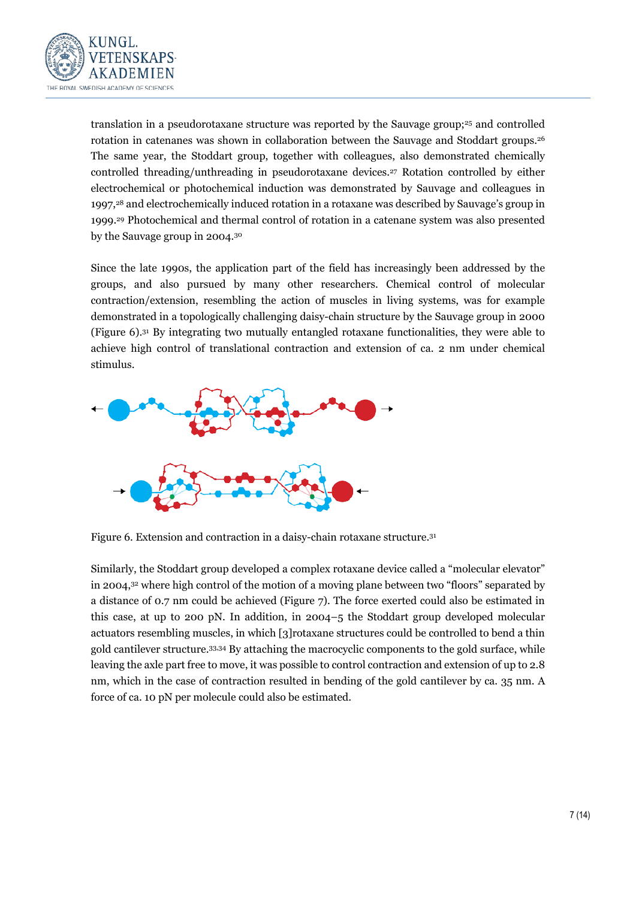

translation in a pseudorotaxane structure was reported by the Sauvage group;<sup>25</sup> and controlled rotation in catenanes was shown in collaboration between the Sauvage and Stoddart groups.<sup>26</sup> The same year, the Stoddart group, together with colleagues, also demonstrated chemically controlled threading/unthreading in pseudorotaxane devices.27 Rotation controlled by either electrochemical or photochemical induction was demonstrated by Sauvage and colleagues in 1997,<sup>28</sup> and electrochemically induced rotation in a rotaxane was described by Sauvage's group in 1999.29 Photochemical and thermal control of rotation in a catenane system was also presented by the Sauvage group in 2004.30

Since the late 1990s, the application part of the field has increasingly been addressed by the groups, and also pursued by many other researchers. Chemical control of molecular contraction/extension, resembling the action of muscles in living systems, was for example demonstrated in a topologically challenging daisy-chain structure by the Sauvage group in 2000 (Figure 6).31 By integrating two mutually entangled rotaxane functionalities, they were able to achieve high control of translational contraction and extension of ca. 2 nm under chemical stimulus.



Figure 6. Extension and contraction in a daisy-chain rotaxane structure.31

Similarly, the Stoddart group developed a complex rotaxane device called a "molecular elevator" in 2004,32 where high control of the motion of a moving plane between two "floors" separated by a distance of 0.7 nm could be achieved (Figure 7). The force exerted could also be estimated in this case, at up to 200 pN. In addition, in 2004–5 the Stoddart group developed molecular actuators resembling muscles, in which [3]rotaxane structures could be controlled to bend a thin gold cantilever structure.33,34 By attaching the macrocyclic components to the gold surface, while leaving the axle part free to move, it was possible to control contraction and extension of up to 2.8 nm, which in the case of contraction resulted in bending of the gold cantilever by ca. 35 nm. A force of ca. 10 pN per molecule could also be estimated.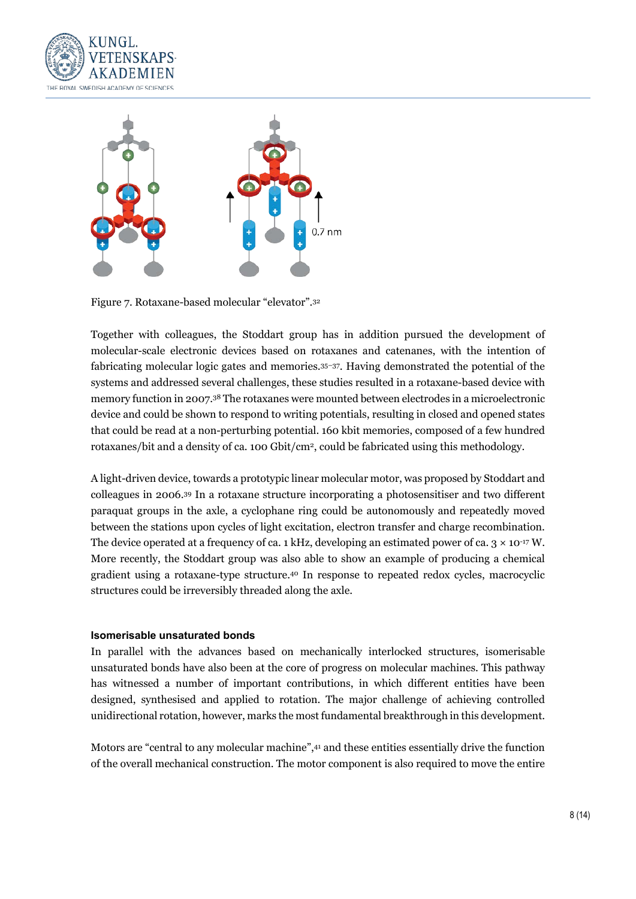



Figure 7. Rotaxane-based molecular "elevator".32

Together with colleagues, the Stoddart group has in addition pursued the development of molecular-scale electronic devices based on rotaxanes and catenanes, with the intention of fabricating molecular logic gates and memories.35–37. Having demonstrated the potential of the systems and addressed several challenges, these studies resulted in a rotaxane-based device with memory function in 2007.38 The rotaxanes were mounted between electrodes in a microelectronic device and could be shown to respond to writing potentials, resulting in closed and opened states that could be read at a non-perturbing potential. 160 kbit memories, composed of a few hundred rotaxanes/bit and a density of ca. 100 Gbit/cm2, could be fabricated using this methodology.

A light-driven device, towards a prototypic linear molecular motor, was proposed by Stoddart and colleagues in 2006.39 In a rotaxane structure incorporating a photosensitiser and two different paraquat groups in the axle, a cyclophane ring could be autonomously and repeatedly moved between the stations upon cycles of light excitation, electron transfer and charge recombination. The device operated at a frequency of ca. 1 kHz, developing an estimated power of ca.  $3 \times 10^{-17}$  W. More recently, the Stoddart group was also able to show an example of producing a chemical gradient using a rotaxane-type structure.40 In response to repeated redox cycles, macrocyclic structures could be irreversibly threaded along the axle.

### **Isomerisable unsaturated bonds**

In parallel with the advances based on mechanically interlocked structures, isomerisable unsaturated bonds have also been at the core of progress on molecular machines. This pathway has witnessed a number of important contributions, in which different entities have been designed, synthesised and applied to rotation. The major challenge of achieving controlled unidirectional rotation, however, marks the most fundamental breakthrough in this development.

Motors are "central to any molecular machine",41 and these entities essentially drive the function of the overall mechanical construction. The motor component is also required to move the entire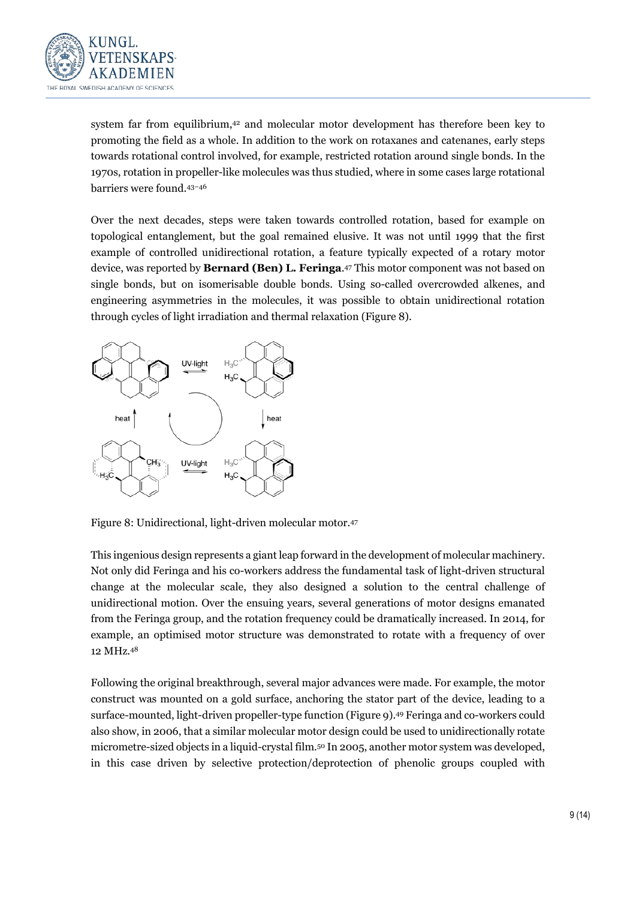

system far from equilibrium,42 and molecular motor development has therefore been key to promoting the field as a whole. In addition to the work on rotaxanes and catenanes, early steps towards rotational control involved, for example, restricted rotation around single bonds. In the 1970s, rotation in propeller-like molecules was thus studied, where in some cases large rotational barriers were found.43–46

Over the next decades, steps were taken towards controlled rotation, based for example on topological entanglement, but the goal remained elusive. It was not until 1999 that the first example of controlled unidirectional rotation, a feature typically expected of a rotary motor device, was reported by **Bernard (Ben) L. Feringa**.47 This motor component was not based on single bonds, but on isomerisable double bonds. Using so-called overcrowded alkenes, and engineering asymmetries in the molecules, it was possible to obtain unidirectional rotation through cycles of light irradiation and thermal relaxation (Figure 8).



Figure 8: Unidirectional, light-driven molecular motor.47

This ingenious design represents a giant leap forward in the development of molecular machinery. Not only did Feringa and his co-workers address the fundamental task of light-driven structural change at the molecular scale, they also designed a solution to the central challenge of unidirectional motion. Over the ensuing years, several generations of motor designs emanated from the Feringa group, and the rotation frequency could be dramatically increased. In 2014, for example, an optimised motor structure was demonstrated to rotate with a frequency of over 12 MHz.48

Following the original breakthrough, several major advances were made. For example, the motor construct was mounted on a gold surface, anchoring the stator part of the device, leading to a surface-mounted, light-driven propeller-type function (Figure 9).49 Feringa and co-workers could also show, in 2006, that a similar molecular motor design could be used to unidirectionally rotate micrometre-sized objects in a liquid-crystal film.50 In 2005, another motor system was developed, in this case driven by selective protection/deprotection of phenolic groups coupled with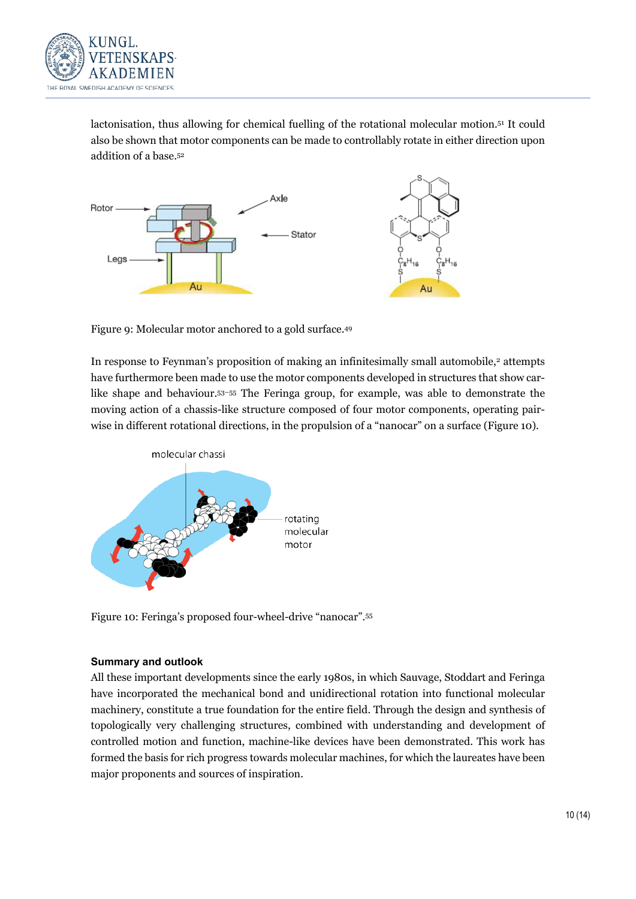

lactonisation, thus allowing for chemical fuelling of the rotational molecular motion.51 It could also be shown that motor components can be made to controllably rotate in either direction upon addition of a base.52



Figure 9: Molecular motor anchored to a gold surface.49

In response to Feynman's proposition of making an infinitesimally small automobile,<sup>2</sup> attempts have furthermore been made to use the motor components developed in structures that show carlike shape and behaviour.53–55 The Feringa group, for example, was able to demonstrate the moving action of a chassis-like structure composed of four motor components, operating pairwise in different rotational directions, in the propulsion of a "nanocar" on a surface (Figure 10).



Figure 10: Feringa's proposed four-wheel-drive "nanocar".55

### **Summary and outlook**

All these important developments since the early 1980s, in which Sauvage, Stoddart and Feringa have incorporated the mechanical bond and unidirectional rotation into functional molecular machinery, constitute a true foundation for the entire field. Through the design and synthesis of topologically very challenging structures, combined with understanding and development of controlled motion and function, machine-like devices have been demonstrated. This work has formed the basis for rich progress towards molecular machines, for which the laureates have been major proponents and sources of inspiration.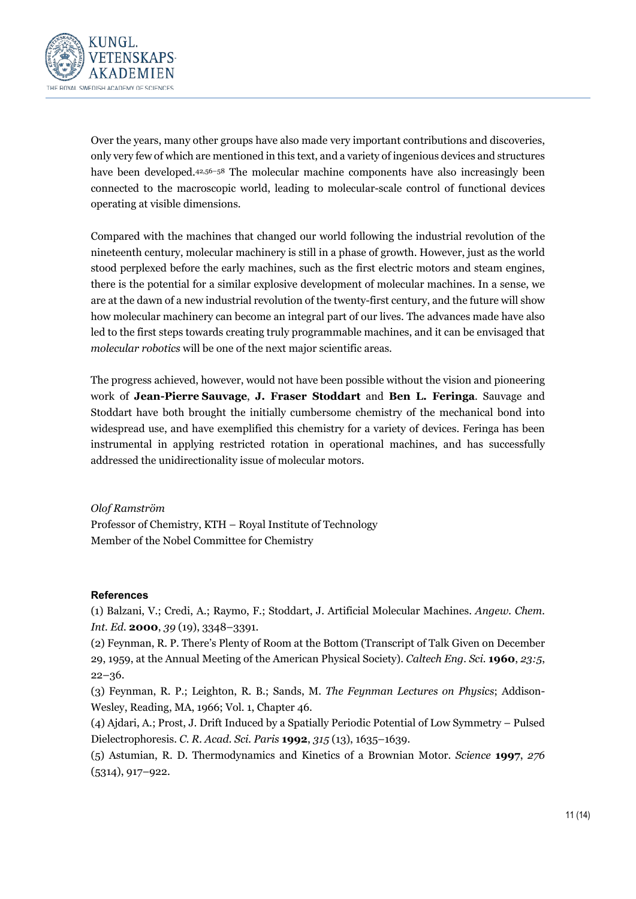

Over the years, many other groups have also made very important contributions and discoveries, only very few of which are mentioned in this text, and a variety of ingenious devices and structures have been developed.<sup>42,56–58</sup> The molecular machine components have also increasingly been connected to the macroscopic world, leading to molecular-scale control of functional devices operating at visible dimensions.

Compared with the machines that changed our world following the industrial revolution of the nineteenth century, molecular machinery is still in a phase of growth. However, just as the world stood perplexed before the early machines, such as the first electric motors and steam engines, there is the potential for a similar explosive development of molecular machines. In a sense, we are at the dawn of a new industrial revolution of the twenty-first century, and the future will show how molecular machinery can become an integral part of our lives. The advances made have also led to the first steps towards creating truly programmable machines, and it can be envisaged that *molecular robotics* will be one of the next major scientific areas.

The progress achieved, however, would not have been possible without the vision and pioneering work of **Jean-Pierre Sauvage**, **J. Fraser Stoddart** and **Ben L. Feringa**. Sauvage and Stoddart have both brought the initially cumbersome chemistry of the mechanical bond into widespread use, and have exemplified this chemistry for a variety of devices. Feringa has been instrumental in applying restricted rotation in operational machines, and has successfully addressed the unidirectionality issue of molecular motors.

*Olof Ramström* Professor of Chemistry, KTH – Royal Institute of Technology Member of the Nobel Committee for Chemistry

### **References**

(1) Balzani, V.; Credi, A.; Raymo, F.; Stoddart, J. Artificial Molecular Machines. *Angew. Chem. Int. Ed.* **2000**, *39* (19), 3348–3391.

(2) Feynman, R. P. There's Plenty of Room at the Bottom (Transcript of Talk Given on December 29, 1959, at the Annual Meeting of the American Physical Society). *Caltech Eng. Sci.* **1960**, *23:5*, 22–36.

(3) Feynman, R. P.; Leighton, R. B.; Sands, M. *The Feynman Lectures on Physics*; Addison-Wesley, Reading, MA, 1966; Vol. 1, Chapter 46.

(4) Ajdari, A.; Prost, J. Drift Induced by a Spatially Periodic Potential of Low Symmetry – Pulsed Dielectrophoresis. *C. R. Acad. Sci. Paris* **1992**, *315* (13), 1635–1639.

(5) Astumian, R. D. Thermodynamics and Kinetics of a Brownian Motor. *Science* **1997**, *276* (5314), 917–922.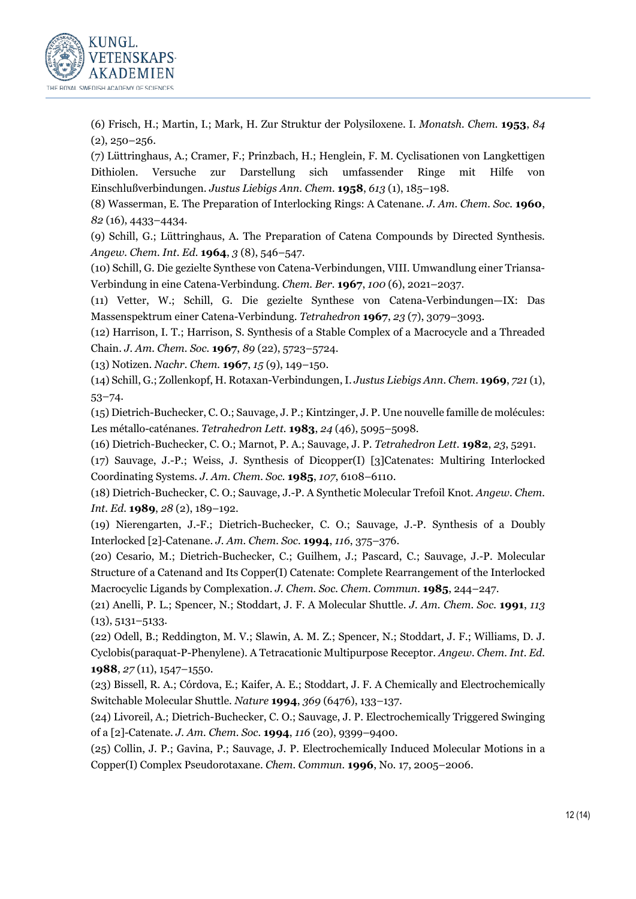

(6) Frisch, H.; Martin, I.; Mark, H. Zur Struktur der Polysiloxene. I. *Monatsh. Chem.* **1953**, *84*  $(2), 250 - 256.$ 

(7) Lüttringhaus, A.; Cramer, F.; Prinzbach, H.; Henglein, F. M. Cyclisationen von Langkettigen Dithiolen. Versuche zur Darstellung sich umfassender Ringe mit Hilfe von Einschlußverbindungen. *Justus Liebigs Ann. Chem.* **1958**, *613* (1), 185–198.

(8) Wasserman, E. The Preparation of Interlocking Rings: A Catenane. *J. Am. Chem. Soc.* **1960**, *82* (16), 4433–4434.

(9) Schill, G.; Lüttringhaus, A. The Preparation of Catena Compounds by Directed Synthesis. *Angew. Chem. Int. Ed.* **1964**, *3* (8), 546–547.

(10) Schill, G. Die gezielte Synthese von Catena-Verbindungen, VIII. Umwandlung einer Triansa-Verbindung in eine Catena-Verbindung. *Chem. Ber.* **1967**, *100* (6), 2021–2037.

(11) Vetter, W.; Schill, G. Die gezielte Synthese von Catena-Verbindungen—IX: Das Massenspektrum einer Catena-Verbindung. *Tetrahedron* **1967**, *23* (7), 3079–3093.

(12) Harrison, I. T.; Harrison, S. Synthesis of a Stable Complex of a Macrocycle and a Threaded Chain. *J. Am. Chem. Soc.* **1967**, *89* (22), 5723–5724.

(13) Notizen. *Nachr. Chem.* **1967**, *15* (9), 149–150.

(14) Schill, G.; Zollenkopf, H. Rotaxan-Verbindungen, I. *Justus Liebigs Ann. Chem.* **1969**, *721* (1), 53–74.

(15) Dietrich-Buchecker, C. O.; Sauvage, J. P.; Kintzinger, J. P. Une nouvelle famille de molécules: Les métallo-caténanes. *Tetrahedron Lett.* **1983**, *24* (46), 5095–5098.

(16) Dietrich-Buchecker, C. O.; Marnot, P. A.; Sauvage, J. P. *Tetrahedron Lett.* **1982**, *23*, 5291.

(17) Sauvage, J.-P.; Weiss, J. Synthesis of Dicopper(I) [3]Catenates: Multiring Interlocked Coordinating Systems. *J. Am. Chem. Soc.* **1985**, *107*, 6108–6110.

(18) Dietrich-Buchecker, C. O.; Sauvage, J.-P. A Synthetic Molecular Trefoil Knot. *Angew. Chem. Int. Ed.* **1989**, *28* (2), 189–192.

(19) Nierengarten, J.-F.; Dietrich-Buchecker, C. O.; Sauvage, J.-P. Synthesis of a Doubly Interlocked [2]-Catenane. *J. Am. Chem. Soc.* **1994**, *116*, 375–376.

(20) Cesario, M.; Dietrich-Buchecker, C.; Guilhem, J.; Pascard, C.; Sauvage, J.-P. Molecular Structure of a Catenand and Its Copper(I) Catenate: Complete Rearrangement of the Interlocked Macrocyclic Ligands by Complexation. *J. Chem. Soc. Chem. Commun.* **1985**, 244–247.

(21) Anelli, P. L.; Spencer, N.; Stoddart, J. F. A Molecular Shuttle. *J. Am. Chem. Soc.* **1991**, *113* (13), 5131–5133.

(22) Odell, B.; Reddington, M. V.; Slawin, A. M. Z.; Spencer, N.; Stoddart, J. F.; Williams, D. J. Cyclobis(paraquat-P-Phenylene). A Tetracationic Multipurpose Receptor. *Angew. Chem. Int. Ed.* **1988**, *27* (11), 1547–1550.

(23) Bissell, R. A.; Córdova, E.; Kaifer, A. E.; Stoddart, J. F. A Chemically and Electrochemically Switchable Molecular Shuttle. *Nature* **1994**, *369* (6476), 133–137.

(24) Livoreil, A.; Dietrich-Buchecker, C. O.; Sauvage, J. P. Electrochemically Triggered Swinging of a [2]-Catenate. *J. Am. Chem. Soc.* **1994**, *116* (20), 9399–9400.

(25) Collin, J. P.; Gavina, P.; Sauvage, J. P. Electrochemically Induced Molecular Motions in a Copper(I) Complex Pseudorotaxane. *Chem. Commun.* **1996**, No. 17, 2005–2006.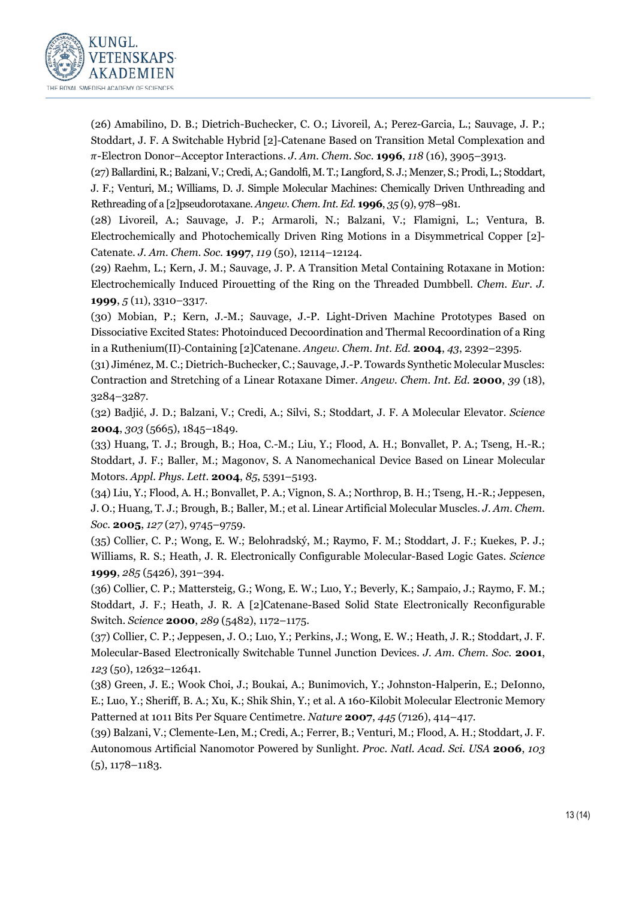

(26) Amabilino, D. B.; Dietrich-Buchecker, C. O.; Livoreil, A.; Perez-Garcia, L.; Sauvage, J. P.; Stoddart, J. F. A Switchable Hybrid [2]-Catenane Based on Transition Metal Complexation and -Electron Donor–Acceptor Interactions. *J. Am. Chem. Soc.* **1996**, *118* (16), 3905–3913.

(27) Ballardini, R.; Balzani, V.; Credi, A.; Gandolfi, M. T.; Langford, S. J.; Menzer, S.; Prodi, L.; Stoddart, J. F.; Venturi, M.; Williams, D. J. Simple Molecular Machines: Chemically Driven Unthreading and Rethreading of a [2]pseudorotaxane. *Angew. Chem. Int. Ed.* **1996**, *35* (9), 978–981.

(28) Livoreil, A.; Sauvage, J. P.; Armaroli, N.; Balzani, V.; Flamigni, L.; Ventura, B. Electrochemically and Photochemically Driven Ring Motions in a Disymmetrical Copper [2]- Catenate. *J. Am. Chem. Soc.* **1997**, *119* (50), 12114–12124.

(29) Raehm, L.; Kern, J. M.; Sauvage, J. P. A Transition Metal Containing Rotaxane in Motion: Electrochemically Induced Pirouetting of the Ring on the Threaded Dumbbell. *Chem. Eur. J.* **1999**, *5* (11), 3310–3317.

(30) Mobian, P.; Kern, J.-M.; Sauvage, J.-P. Light-Driven Machine Prototypes Based on Dissociative Excited States: Photoinduced Decoordination and Thermal Recoordination of a Ring in a Ruthenium(II)-Containing [2]Catenane. *Angew. Chem. Int. Ed.* **2004**, *43*, 2392–2395.

(31) Jiménez, M. C.; Dietrich-Buchecker, C.; Sauvage, J.-P. Towards Synthetic Molecular Muscles: Contraction and Stretching of a Linear Rotaxane Dimer. *Angew. Chem. Int. Ed.* **2000**, *39* (18), 3284–3287.

(32) Badjić, J. D.; Balzani, V.; Credi, A.; Silvi, S.; Stoddart, J. F. A Molecular Elevator. *Science* **2004**, *303* (5665), 1845–1849.

(33) Huang, T. J.; Brough, B.; Hoa, C.-M.; Liu, Y.; Flood, A. H.; Bonvallet, P. A.; Tseng, H.-R.; Stoddart, J. F.; Baller, M.; Magonov, S. A Nanomechanical Device Based on Linear Molecular Motors. *Appl. Phys. Lett.* **2004**, *85*, 5391–5193.

(34) Liu, Y.; Flood, A. H.; Bonvallet, P. A.; Vignon, S. A.; Northrop, B. H.; Tseng, H.-R.; Jeppesen, J. O.; Huang, T. J.; Brough, B.; Baller, M.; et al. Linear Artificial Molecular Muscles. *J. Am. Chem. Soc.* **2005**, *127* (27), 9745–9759.

(35) Collier, C. P.; Wong, E. W.; Belohradský, M.; Raymo, F. M.; Stoddart, J. F.; Kuekes, P. J.; Williams, R. S.; Heath, J. R. Electronically Configurable Molecular-Based Logic Gates. *Science* **1999**, *285* (5426), 391–394.

(36) Collier, C. P.; Mattersteig, G.; Wong, E. W.; Luo, Y.; Beverly, K.; Sampaio, J.; Raymo, F. M.; Stoddart, J. F.; Heath, J. R. A [2]Catenane-Based Solid State Electronically Reconfigurable Switch. *Science* **2000**, *289* (5482), 1172–1175.

(37) Collier, C. P.; Jeppesen, J. O.; Luo, Y.; Perkins, J.; Wong, E. W.; Heath, J. R.; Stoddart, J. F. Molecular-Based Electronically Switchable Tunnel Junction Devices. *J. Am. Chem. Soc.* **2001**, *123* (50), 12632–12641.

(38) Green, J. E.; Wook Choi, J.; Boukai, A.; Bunimovich, Y.; Johnston-Halperin, E.; DeIonno, E.; Luo, Y.; Sheriff, B. A.; Xu, K.; Shik Shin, Y.; et al. A 160-Kilobit Molecular Electronic Memory Patterned at 1011 Bits Per Square Centimetre. *Nature* **2007**, *445* (7126), 414–417.

(39) Balzani, V.; Clemente-Len, M.; Credi, A.; Ferrer, B.; Venturi, M.; Flood, A. H.; Stoddart, J. F. Autonomous Artificial Nanomotor Powered by Sunlight. *Proc. Natl. Acad. Sci. USA* **2006**, *103* (5), 1178–1183.